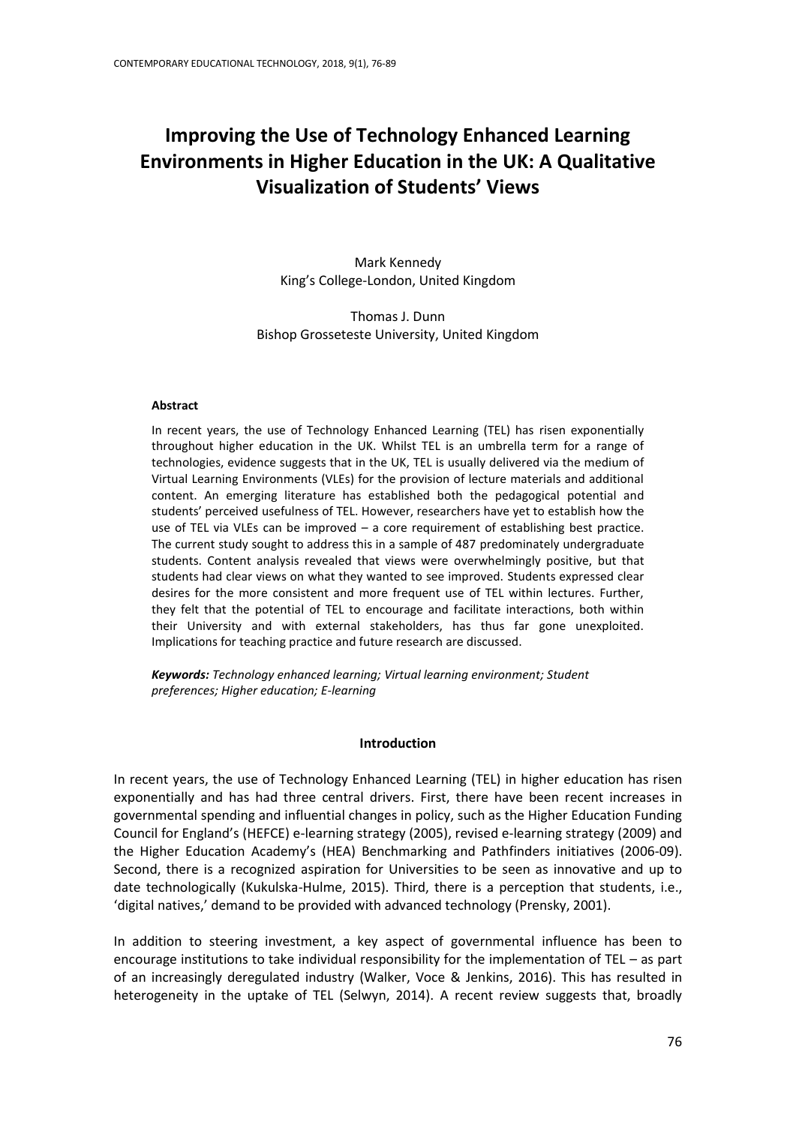# **Improving the Use of Technology Enhanced Learning Environments in Higher Education in the UK: A Qualitative Visualization of Students' Views**

Mark Kennedy King's College-London, United Kingdom

Thomas J. Dunn Bishop Grosseteste University, United Kingdom

## **Abstract**

In recent years, the use of Technology Enhanced Learning (TEL) has risen exponentially throughout higher education in the UK. Whilst TEL is an umbrella term for a range of technologies, evidence suggests that in the UK, TEL is usually delivered via the medium of Virtual Learning Environments (VLEs) for the provision of lecture materials and additional content. An emerging literature has established both the pedagogical potential and students' perceived usefulness of TEL. However, researchers have yet to establish how the use of TEL via VLEs can be improved – a core requirement of establishing best practice. The current study sought to address this in a sample of 487 predominately undergraduate students. Content analysis revealed that views were overwhelmingly positive, but that students had clear views on what they wanted to see improved. Students expressed clear desires for the more consistent and more frequent use of TEL within lectures. Further, they felt that the potential of TEL to encourage and facilitate interactions, both within their University and with external stakeholders, has thus far gone unexploited. Implications for teaching practice and future research are discussed.

*Keywords: Technology enhanced learning; Virtual learning environment; Student preferences; Higher education; E-learning*

## **Introduction**

In recent years, the use of Technology Enhanced Learning (TEL) in higher education has risen exponentially and has had three central drivers. First, there have been recent increases in governmental spending and influential changes in policy, such as the Higher Education Funding Council for England's (HEFCE) e-learning strategy (2005), revised e-learning strategy (2009) and the Higher Education Academy's (HEA) Benchmarking and Pathfinders initiatives (2006-09). Second, there is a recognized aspiration for Universities to be seen as innovative and up to date technologically (Kukulska-Hulme, 2015). Third, there is a perception that students, i.e., 'digital natives,' demand to be provided with advanced technology (Prensky, 2001).

In addition to steering investment, a key aspect of governmental influence has been to encourage institutions to take individual responsibility for the implementation of TEL – as part of an increasingly deregulated industry (Walker, Voce & Jenkins, 2016). This has resulted in heterogeneity in the uptake of TEL (Selwyn, 2014). A recent review suggests that, broadly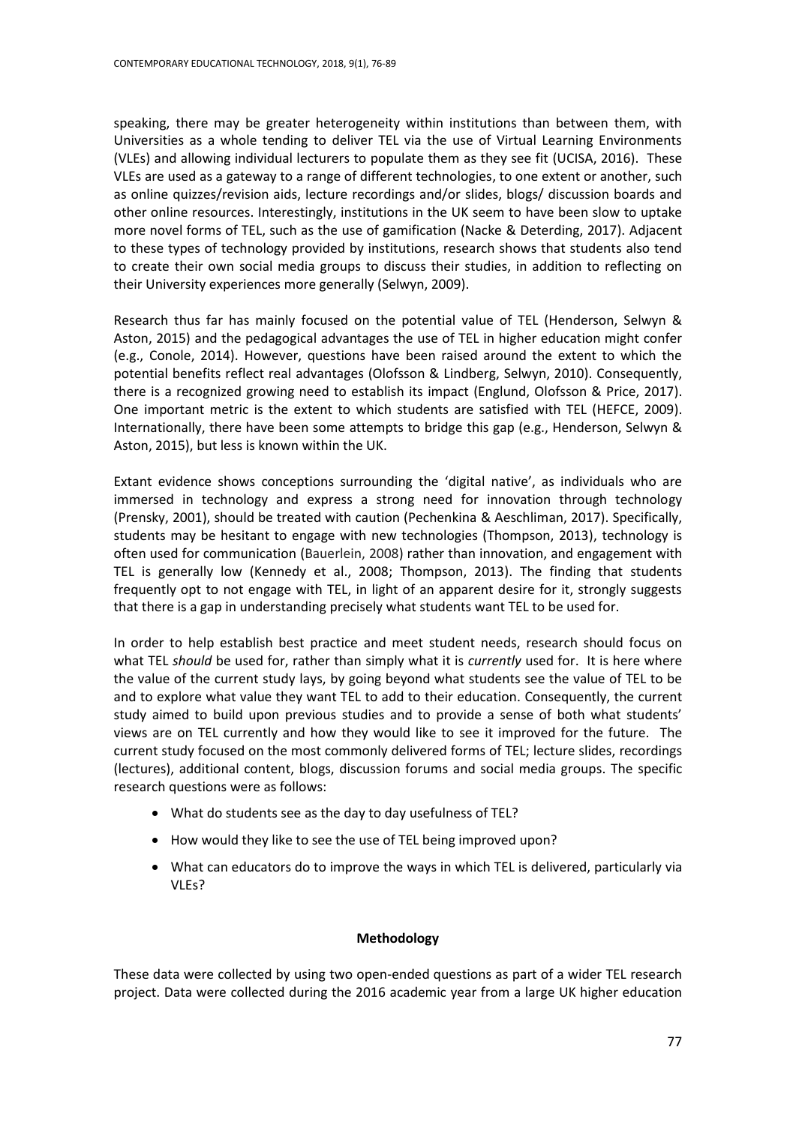speaking, there may be greater heterogeneity within institutions than between them, with Universities as a whole tending to deliver TEL via the use of Virtual Learning Environments (VLEs) and allowing individual lecturers to populate them as they see fit (UCISA, 2016). These VLEs are used as a gateway to a range of different technologies, to one extent or another, such as online quizzes/revision aids, lecture recordings and/or slides, blogs/ discussion boards and other online resources. Interestingly, institutions in the UK seem to have been slow to uptake more novel forms of TEL, such as the use of gamification (Nacke & Deterding, 2017). Adjacent to these types of technology provided by institutions, research shows that students also tend to create their own social media groups to discuss their studies, in addition to reflecting on their University experiences more generally (Selwyn, 2009).

Research thus far has mainly focused on the potential value of TEL (Henderson, Selwyn & Aston, 2015) and the pedagogical advantages the use of TEL in higher education might confer (e.g., Conole, 2014). However, questions have been raised around the extent to which the potential benefits reflect real advantages (Olofsson & Lindberg, Selwyn, 2010). Consequently, there is a recognized growing need to establish its impact (Englund, Olofsson & Price, 2017). One important metric is the extent to which students are satisfied with TEL (HEFCE, 2009). Internationally, there have been some attempts to bridge this gap (e.g., Henderson, Selwyn & Aston, 2015), but less is known within the UK.

Extant evidence shows conceptions surrounding the 'digital native', as individuals who are immersed in technology and express a strong need for innovation through technology (Prensky, 2001), should be treated with caution (Pechenkina & Aeschliman, 2017). Specifically, students may be hesitant to engage with new technologies (Thompson, 2013), technology is often used for communication (Bauerlein, 2008) rather than innovation, and engagement with TEL is generally low (Kennedy et al., 2008; Thompson, 2013). The finding that students frequently opt to not engage with TEL, in light of an apparent desire for it, strongly suggests that there is a gap in understanding precisely what students want TEL to be used for.

In order to help establish best practice and meet student needs, research should focus on what TEL *should* be used for, rather than simply what it is *currently* used for. It is here where the value of the current study lays, by going beyond what students see the value of TEL to be and to explore what value they want TEL to add to their education. Consequently, the current study aimed to build upon previous studies and to provide a sense of both what students' views are on TEL currently and how they would like to see it improved for the future. The current study focused on the most commonly delivered forms of TEL; lecture slides, recordings (lectures), additional content, blogs, discussion forums and social media groups. The specific research questions were as follows:

- What do students see as the day to day usefulness of TEL?
- How would they like to see the use of TEL being improved upon?
- What can educators do to improve the ways in which TEL is delivered, particularly via VLEs?

## **Methodology**

These data were collected by using two open-ended questions as part of a wider TEL research project. Data were collected during the 2016 academic year from a large UK higher education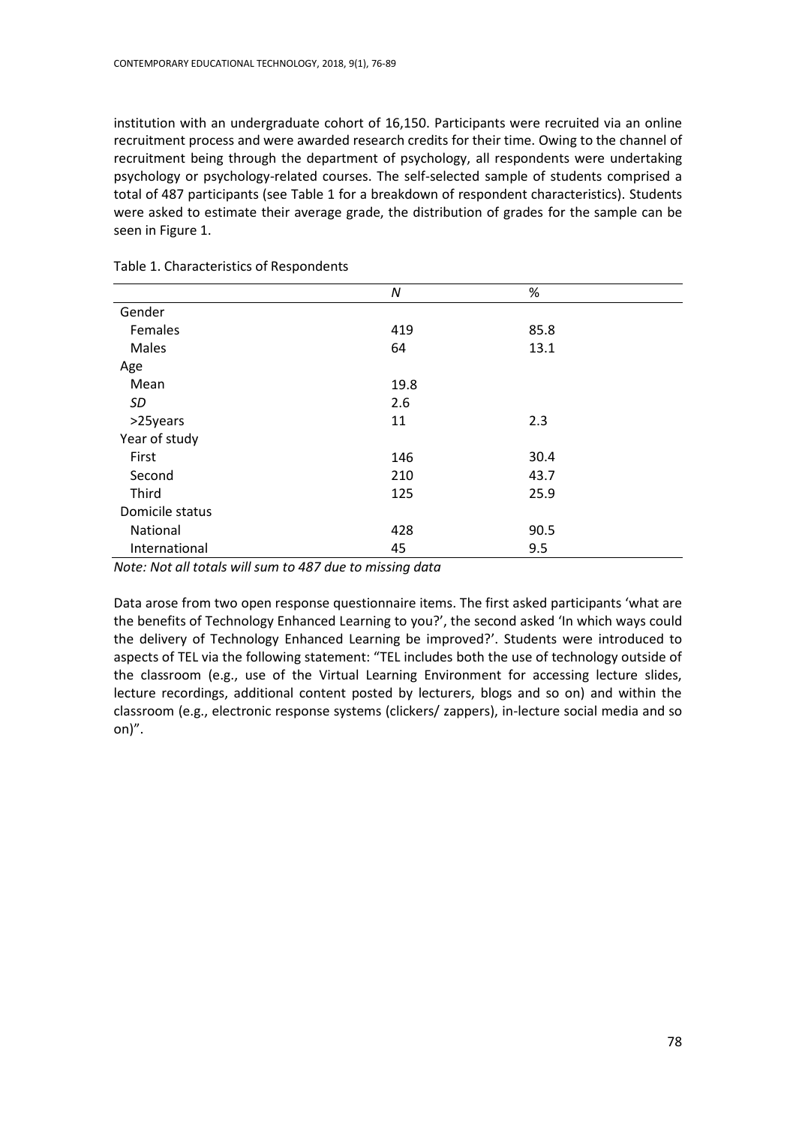institution with an undergraduate cohort of 16,150. Participants were recruited via an online recruitment process and were awarded research credits for their time. Owing to the channel of recruitment being through the department of psychology, all respondents were undertaking psychology or psychology-related courses. The self-selected sample of students comprised a total of 487 participants (see Table 1 for a breakdown of respondent characteristics). Students were asked to estimate their average grade, the distribution of grades for the sample can be seen in Figure 1.

|                 | N    | %    |
|-----------------|------|------|
| Gender          |      |      |
| Females         | 419  | 85.8 |
| <b>Males</b>    | 64   | 13.1 |
| Age             |      |      |
| Mean            | 19.8 |      |
| SD              | 2.6  |      |
| >25years        | 11   | 2.3  |
| Year of study   |      |      |
| First           | 146  | 30.4 |
| Second          | 210  | 43.7 |
| Third           | 125  | 25.9 |
| Domicile status |      |      |
| National        | 428  | 90.5 |
| International   | 45   | 9.5  |

Table 1. Characteristics of Respondents

*Note: Not all totals will sum to 487 due to missing data*

Data arose from two open response questionnaire items. The first asked participants 'what are the benefits of Technology Enhanced Learning to you?', the second asked 'In which ways could the delivery of Technology Enhanced Learning be improved?'. Students were introduced to aspects of TEL via the following statement: "TEL includes both the use of technology outside of the classroom (e.g., use of the Virtual Learning Environment for accessing lecture slides, lecture recordings, additional content posted by lecturers, blogs and so on) and within the classroom (e.g., electronic response systems (clickers/ zappers), in-lecture social media and so on)".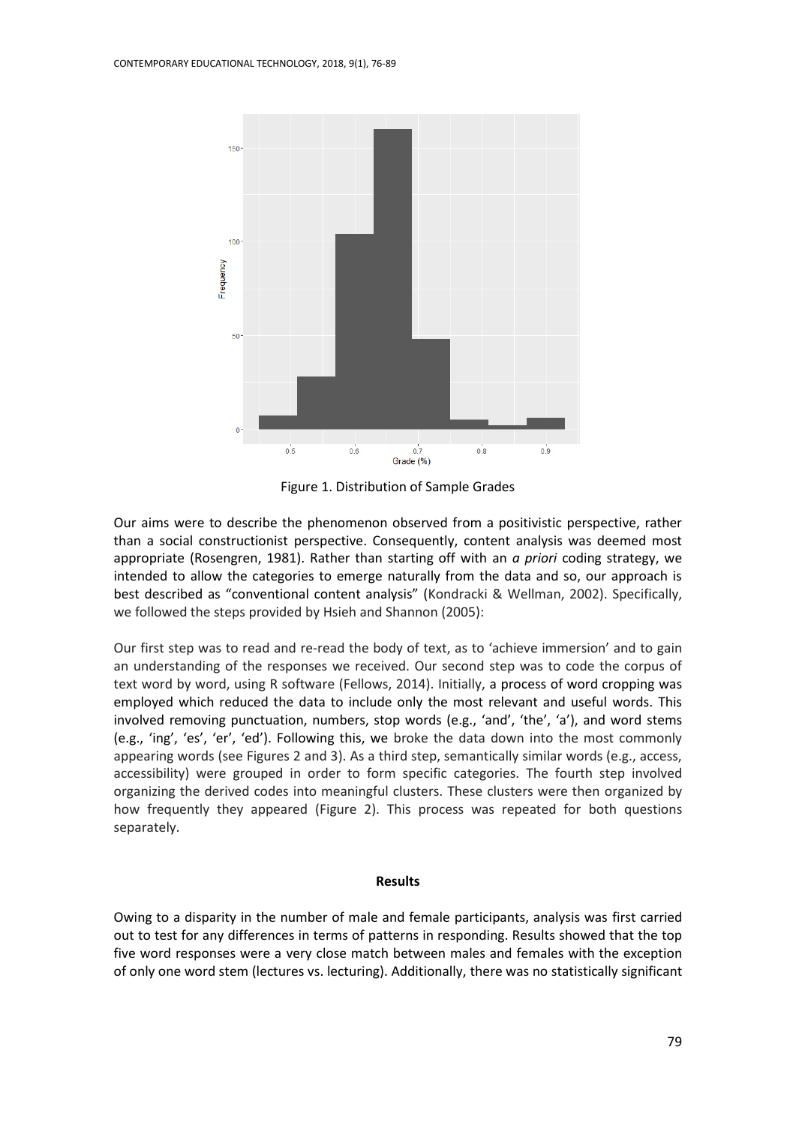

Figure 1. Distribution of Sample Grades

Our aims were to describe the phenomenon observed from a positivistic perspective, rather than a social constructionist perspective. Consequently, content analysis was deemed most appropriate (Rosengren, 1981). Rather than starting off with an *a priori* coding strategy, we intended to allow the categories to emerge naturally from the data and so, our approach is best described as "conventional content analysis" (Kondracki & Wellman, 2002). Specifically, we followed the steps provided by Hsieh and Shannon (2005):

Our first step was to read and re-read the body of text, as to 'achieve immersion' and to gain an understanding of the responses we received. Our second step was to code the corpus of text word by word, using R software (Fellows, 2014). Initially, a process of word cropping was employed which reduced the data to include only the most relevant and useful words. This involved removing punctuation, numbers, stop words (e.g., 'and', 'the', 'a'), and word stems (e.g., 'ing', 'es', 'er', 'ed'). Following this, we broke the data down into the most commonly appearing words (see Figures 2 and 3). As a third step, semantically similar words (e.g., access, accessibility) were grouped in order to form specific categories. The fourth step involved organizing the derived codes into meaningful clusters. These clusters were then organized by how frequently they appeared (Figure 2). This process was repeated for both questions separately.

#### **Results**

Owing to a disparity in the number of male and female participants, analysis was first carried out to test for any differences in terms of patterns in responding. Results showed that the top five word responses were a very close match between males and females with the exception of only one word stem (lectures vs. lecturing). Additionally, there was no statistically significant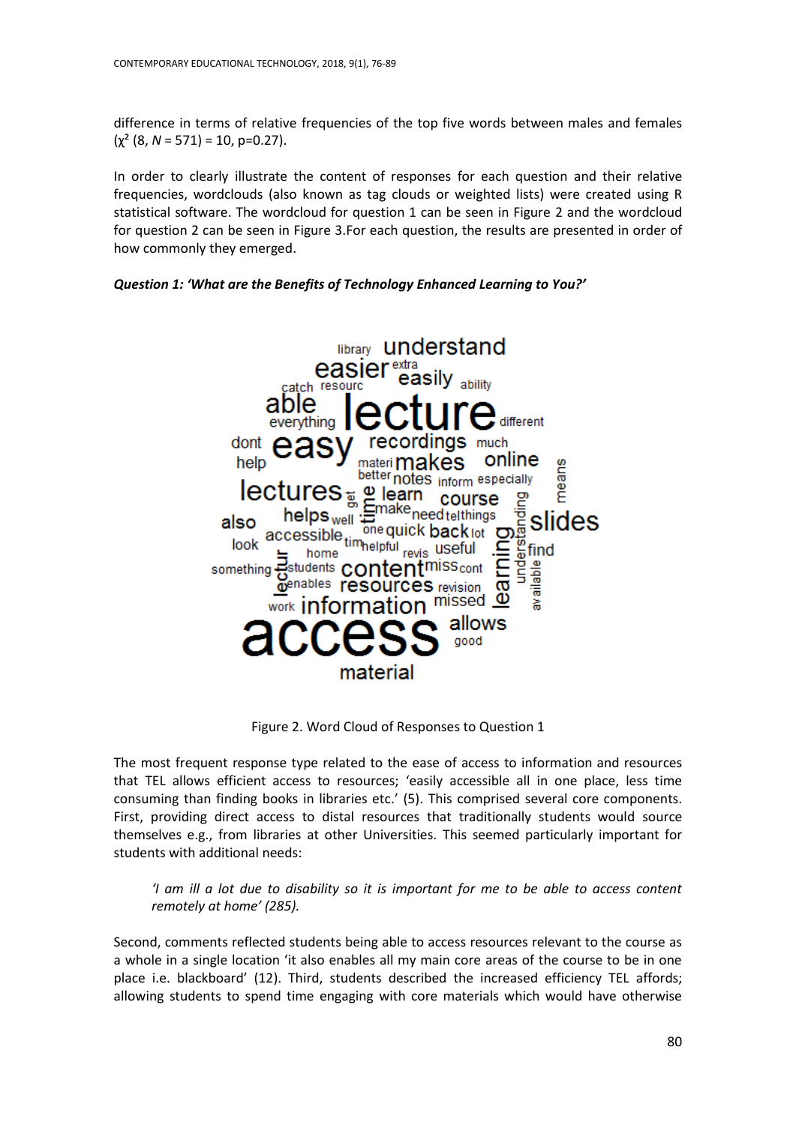difference in terms of relative frequencies of the top five words between males and females  $(y^2 (8, N = 571) = 10, p=0.27)$ .

In order to clearly illustrate the content of responses for each question and their relative frequencies, wordclouds (also known as tag clouds or weighted lists) were created using R statistical software. The wordcloud for question 1 can be seen in Figure 2 and the wordcloud for question 2 can be seen in Figure 3.For each question, the results are presented in order of how commonly they emerged.





Figure 2. Word Cloud of Responses to Question 1

The most frequent response type related to the ease of access to information and resources that TEL allows efficient access to resources; 'easily accessible all in one place, less time consuming than finding books in libraries etc.' (5). This comprised several core components. First, providing direct access to distal resources that traditionally students would source themselves e.g., from libraries at other Universities. This seemed particularly important for students with additional needs:

*'I am ill a lot due to disability so it is important for me to be able to access content remotely at home' (285).*

Second, comments reflected students being able to access resources relevant to the course as a whole in a single location 'it also enables all my main core areas of the course to be in one place i.e. blackboard' (12). Third, students described the increased efficiency TEL affords; allowing students to spend time engaging with core materials which would have otherwise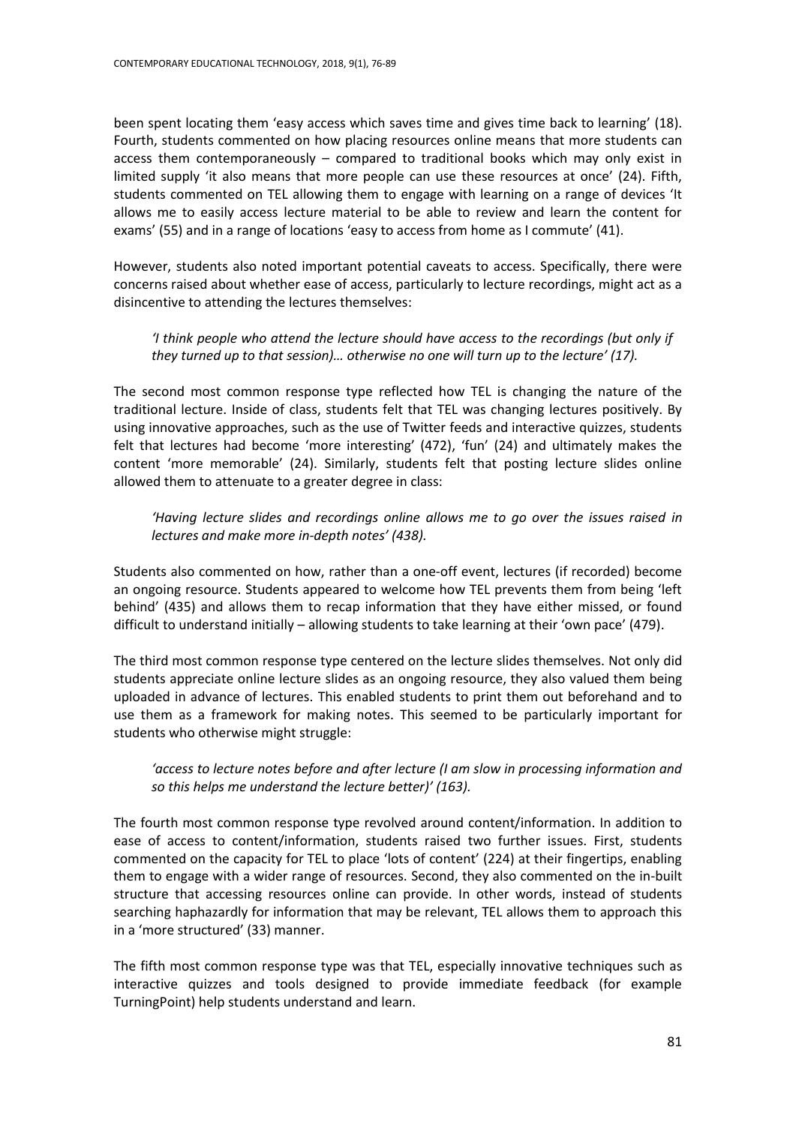been spent locating them 'easy access which saves time and gives time back to learning' (18). Fourth, students commented on how placing resources online means that more students can access them contemporaneously – compared to traditional books which may only exist in limited supply 'it also means that more people can use these resources at once' (24). Fifth, students commented on TEL allowing them to engage with learning on a range of devices 'It allows me to easily access lecture material to be able to review and learn the content for exams' (55) and in a range of locations 'easy to access from home as I commute' (41).

However, students also noted important potential caveats to access. Specifically, there were concerns raised about whether ease of access, particularly to lecture recordings, might act as a disincentive to attending the lectures themselves:

*'I think people who attend the lecture should have access to the recordings (but only if they turned up to that session)… otherwise no one will turn up to the lecture' (17).* 

The second most common response type reflected how TEL is changing the nature of the traditional lecture. Inside of class, students felt that TEL was changing lectures positively. By using innovative approaches, such as the use of Twitter feeds and interactive quizzes, students felt that lectures had become 'more interesting' (472), 'fun' (24) and ultimately makes the content 'more memorable' (24). Similarly, students felt that posting lecture slides online allowed them to attenuate to a greater degree in class:

*'Having lecture slides and recordings online allows me to go over the issues raised in lectures and make more in-depth notes' (438).*

Students also commented on how, rather than a one-off event, lectures (if recorded) become an ongoing resource. Students appeared to welcome how TEL prevents them from being 'left behind' (435) and allows them to recap information that they have either missed, or found difficult to understand initially – allowing students to take learning at their 'own pace' (479).

The third most common response type centered on the lecture slides themselves. Not only did students appreciate online lecture slides as an ongoing resource, they also valued them being uploaded in advance of lectures. This enabled students to print them out beforehand and to use them as a framework for making notes. This seemed to be particularly important for students who otherwise might struggle:

*'access to lecture notes before and after lecture (I am slow in processing information and so this helps me understand the lecture better)' (163).*

The fourth most common response type revolved around content/information. In addition to ease of access to content/information, students raised two further issues. First, students commented on the capacity for TEL to place 'lots of content' (224) at their fingertips, enabling them to engage with a wider range of resources. Second, they also commented on the in-built structure that accessing resources online can provide. In other words, instead of students searching haphazardly for information that may be relevant, TEL allows them to approach this in a 'more structured' (33) manner.

The fifth most common response type was that TEL, especially innovative techniques such as interactive quizzes and tools designed to provide immediate feedback (for example TurningPoint) help students understand and learn.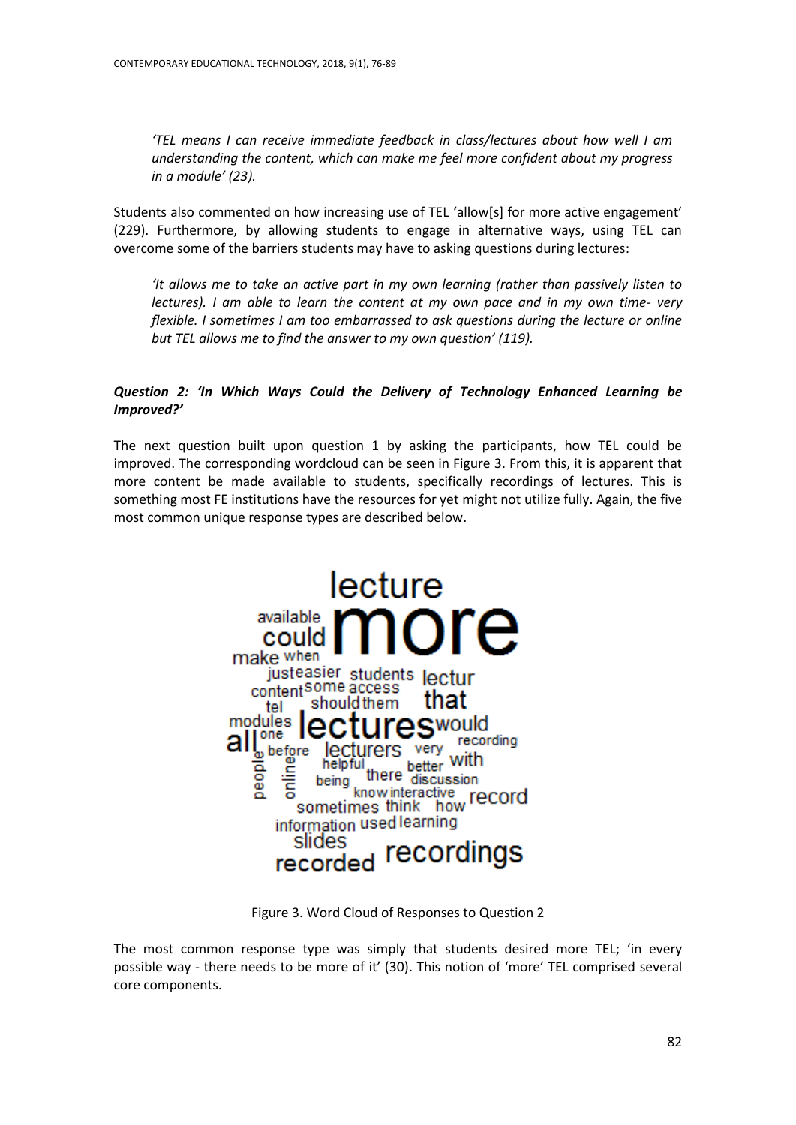*'TEL means I can receive immediate feedback in class/lectures about how well I am understanding the content, which can make me feel more confident about my progress in a module' (23).*

Students also commented on how increasing use of TEL 'allow[s] for more active engagement' (229). Furthermore, by allowing students to engage in alternative ways, using TEL can overcome some of the barriers students may have to asking questions during lectures:

*'It allows me to take an active part in my own learning (rather than passively listen to lectures). I am able to learn the content at my own pace and in my own time- very flexible. I sometimes I am too embarrassed to ask questions during the lecture or online but TEL allows me to find the answer to my own question' (119).*

# *Question 2: 'In Which Ways Could the Delivery of Technology Enhanced Learning be Improved?'*

The next question built upon question 1 by asking the participants, how TEL could be improved. The corresponding wordcloud can be seen in Figure 3. From this, it is apparent that more content be made available to students, specifically recordings of lectures. This is something most FE institutions have the resources for yet might not utilize fully. Again, the five most common unique response types are described below.



Figure 3. Word Cloud of Responses to Question 2

The most common response type was simply that students desired more TEL; 'in every possible way - there needs to be more of it' (30). This notion of 'more' TEL comprised several core components.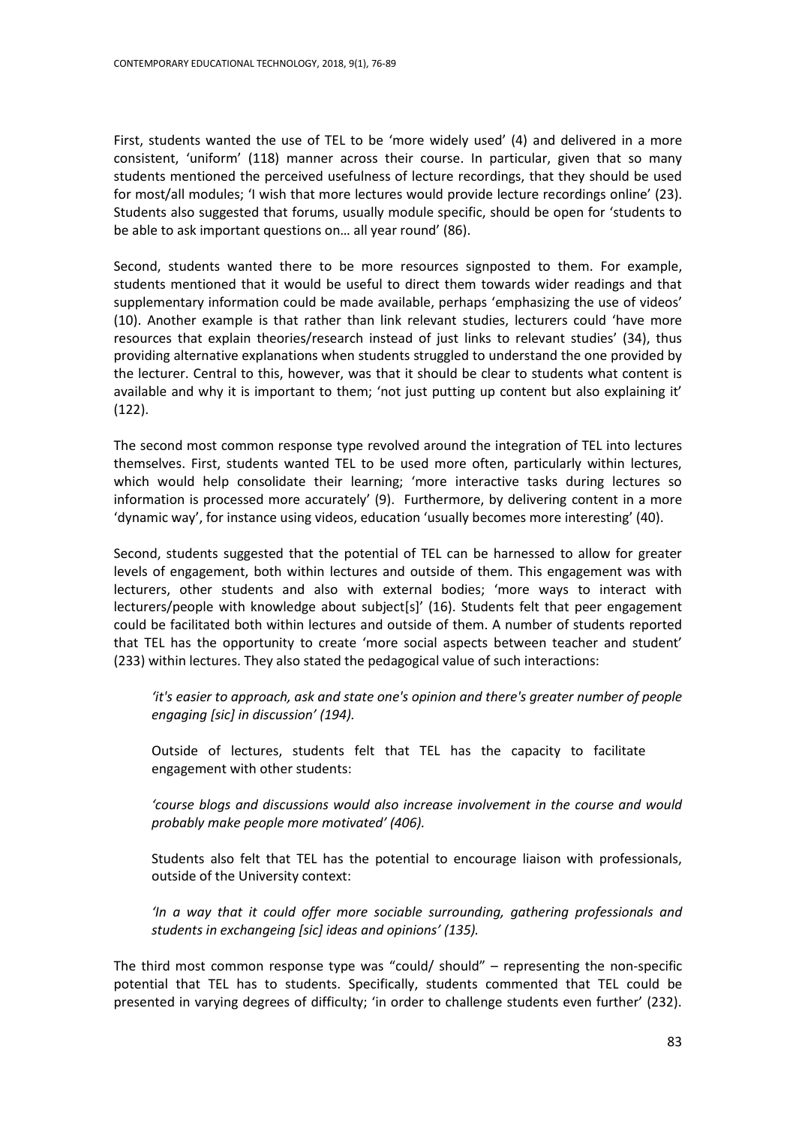First, students wanted the use of TEL to be 'more widely used' (4) and delivered in a more consistent, 'uniform' (118) manner across their course. In particular, given that so many students mentioned the perceived usefulness of lecture recordings, that they should be used for most/all modules; 'I wish that more lectures would provide lecture recordings online' (23). Students also suggested that forums, usually module specific, should be open for 'students to be able to ask important questions on… all year round' (86).

Second, students wanted there to be more resources signposted to them. For example, students mentioned that it would be useful to direct them towards wider readings and that supplementary information could be made available, perhaps 'emphasizing the use of videos' (10). Another example is that rather than link relevant studies, lecturers could 'have more resources that explain theories/research instead of just links to relevant studies' (34), thus providing alternative explanations when students struggled to understand the one provided by the lecturer. Central to this, however, was that it should be clear to students what content is available and why it is important to them; 'not just putting up content but also explaining it' (122).

The second most common response type revolved around the integration of TEL into lectures themselves. First, students wanted TEL to be used more often, particularly within lectures, which would help consolidate their learning; 'more interactive tasks during lectures so information is processed more accurately' (9). Furthermore, by delivering content in a more 'dynamic way', for instance using videos, education 'usually becomes more interesting' (40).

Second, students suggested that the potential of TEL can be harnessed to allow for greater levels of engagement, both within lectures and outside of them. This engagement was with lecturers, other students and also with external bodies; 'more ways to interact with lecturers/people with knowledge about subject[s]' (16). Students felt that peer engagement could be facilitated both within lectures and outside of them. A number of students reported that TEL has the opportunity to create 'more social aspects between teacher and student' (233) within lectures. They also stated the pedagogical value of such interactions:

*'it's easier to approach, ask and state one's opinion and there's greater number of people engaging [sic] in discussion' (194).*

Outside of lectures, students felt that TEL has the capacity to facilitate engagement with other students:

*'course blogs and discussions would also increase involvement in the course and would probably make people more motivated' (406).*

Students also felt that TEL has the potential to encourage liaison with professionals, outside of the University context:

*'In a way that it could offer more sociable surrounding, gathering professionals and students in exchangeing [sic] ideas and opinions' (135).*

The third most common response type was "could/ should" – representing the non-specific potential that TEL has to students. Specifically, students commented that TEL could be presented in varying degrees of difficulty; 'in order to challenge students even further' (232).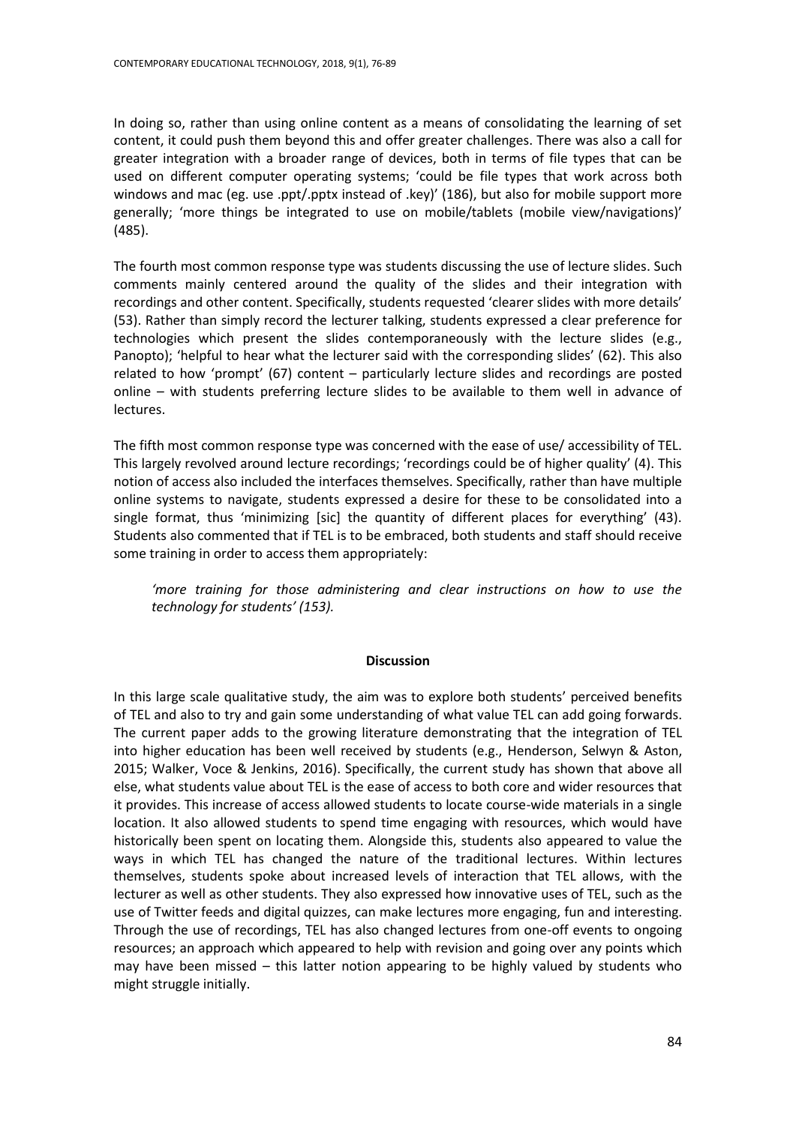In doing so, rather than using online content as a means of consolidating the learning of set content, it could push them beyond this and offer greater challenges. There was also a call for greater integration with a broader range of devices, both in terms of file types that can be used on different computer operating systems; 'could be file types that work across both windows and mac (eg. use .ppt/.pptx instead of .key)' (186), but also for mobile support more generally; 'more things be integrated to use on mobile/tablets (mobile view/navigations)' (485).

The fourth most common response type was students discussing the use of lecture slides. Such comments mainly centered around the quality of the slides and their integration with recordings and other content. Specifically, students requested 'clearer slides with more details' (53). Rather than simply record the lecturer talking, students expressed a clear preference for technologies which present the slides contemporaneously with the lecture slides (e.g., Panopto); 'helpful to hear what the lecturer said with the corresponding slides' (62). This also related to how 'prompt' (67) content – particularly lecture slides and recordings are posted online – with students preferring lecture slides to be available to them well in advance of lectures.

The fifth most common response type was concerned with the ease of use/ accessibility of TEL. This largely revolved around lecture recordings; 'recordings could be of higher quality' (4). This notion of access also included the interfaces themselves. Specifically, rather than have multiple online systems to navigate, students expressed a desire for these to be consolidated into a single format, thus 'minimizing [sic] the quantity of different places for everything' (43). Students also commented that if TEL is to be embraced, both students and staff should receive some training in order to access them appropriately:

*'more training for those administering and clear instructions on how to use the technology for students' (153).*

#### **Discussion**

In this large scale qualitative study, the aim was to explore both students' perceived benefits of TEL and also to try and gain some understanding of what value TEL can add going forwards. The current paper adds to the growing literature demonstrating that the integration of TEL into higher education has been well received by students (e.g., Henderson, Selwyn & Aston, 2015; Walker, Voce & Jenkins, 2016). Specifically, the current study has shown that above all else, what students value about TEL is the ease of access to both core and wider resources that it provides. This increase of access allowed students to locate course-wide materials in a single location. It also allowed students to spend time engaging with resources, which would have historically been spent on locating them. Alongside this, students also appeared to value the ways in which TEL has changed the nature of the traditional lectures. Within lectures themselves, students spoke about increased levels of interaction that TEL allows, with the lecturer as well as other students. They also expressed how innovative uses of TEL, such as the use of Twitter feeds and digital quizzes, can make lectures more engaging, fun and interesting. Through the use of recordings, TEL has also changed lectures from one-off events to ongoing resources; an approach which appeared to help with revision and going over any points which may have been missed – this latter notion appearing to be highly valued by students who might struggle initially.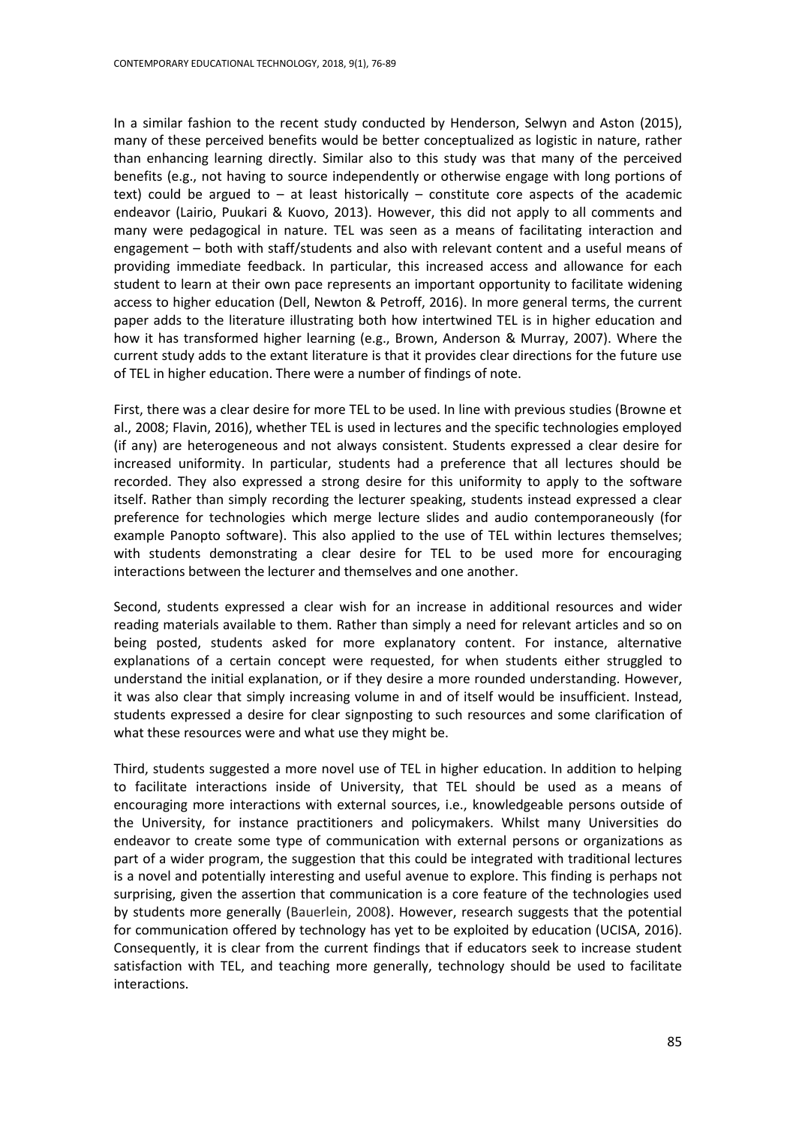In a similar fashion to the recent study conducted by Henderson, Selwyn and Aston (2015), many of these perceived benefits would be better conceptualized as logistic in nature, rather than enhancing learning directly. Similar also to this study was that many of the perceived benefits (e.g., not having to source independently or otherwise engage with long portions of text) could be argued to  $-$  at least historically  $-$  constitute core aspects of the academic endeavor (Lairio, Puukari & Kuovo, 2013). However, this did not apply to all comments and many were pedagogical in nature. TEL was seen as a means of facilitating interaction and engagement – both with staff/students and also with relevant content and a useful means of providing immediate feedback. In particular, this increased access and allowance for each student to learn at their own pace represents an important opportunity to facilitate widening access to higher education (Dell, Newton & Petroff, 2016). In more general terms, the current paper adds to the literature illustrating both how intertwined TEL is in higher education and how it has transformed higher learning (e.g., Brown, Anderson & Murray, 2007). Where the current study adds to the extant literature is that it provides clear directions for the future use of TEL in higher education. There were a number of findings of note.

First, there was a clear desire for more TEL to be used. In line with previous studies (Browne et al., 2008; Flavin, 2016), whether TEL is used in lectures and the specific technologies employed (if any) are heterogeneous and not always consistent. Students expressed a clear desire for increased uniformity. In particular, students had a preference that all lectures should be recorded. They also expressed a strong desire for this uniformity to apply to the software itself. Rather than simply recording the lecturer speaking, students instead expressed a clear preference for technologies which merge lecture slides and audio contemporaneously (for example Panopto software). This also applied to the use of TEL within lectures themselves; with students demonstrating a clear desire for TEL to be used more for encouraging interactions between the lecturer and themselves and one another.

Second, students expressed a clear wish for an increase in additional resources and wider reading materials available to them. Rather than simply a need for relevant articles and so on being posted, students asked for more explanatory content. For instance, alternative explanations of a certain concept were requested, for when students either struggled to understand the initial explanation, or if they desire a more rounded understanding. However, it was also clear that simply increasing volume in and of itself would be insufficient. Instead, students expressed a desire for clear signposting to such resources and some clarification of what these resources were and what use they might be.

Third, students suggested a more novel use of TEL in higher education. In addition to helping to facilitate interactions inside of University, that TEL should be used as a means of encouraging more interactions with external sources, i.e., knowledgeable persons outside of the University, for instance practitioners and policymakers. Whilst many Universities do endeavor to create some type of communication with external persons or organizations as part of a wider program, the suggestion that this could be integrated with traditional lectures is a novel and potentially interesting and useful avenue to explore. This finding is perhaps not surprising, given the assertion that communication is a core feature of the technologies used by students more generally (Bauerlein, 2008). However, research suggests that the potential for communication offered by technology has yet to be exploited by education (UCISA, 2016). Consequently, it is clear from the current findings that if educators seek to increase student satisfaction with TEL, and teaching more generally, technology should be used to facilitate interactions.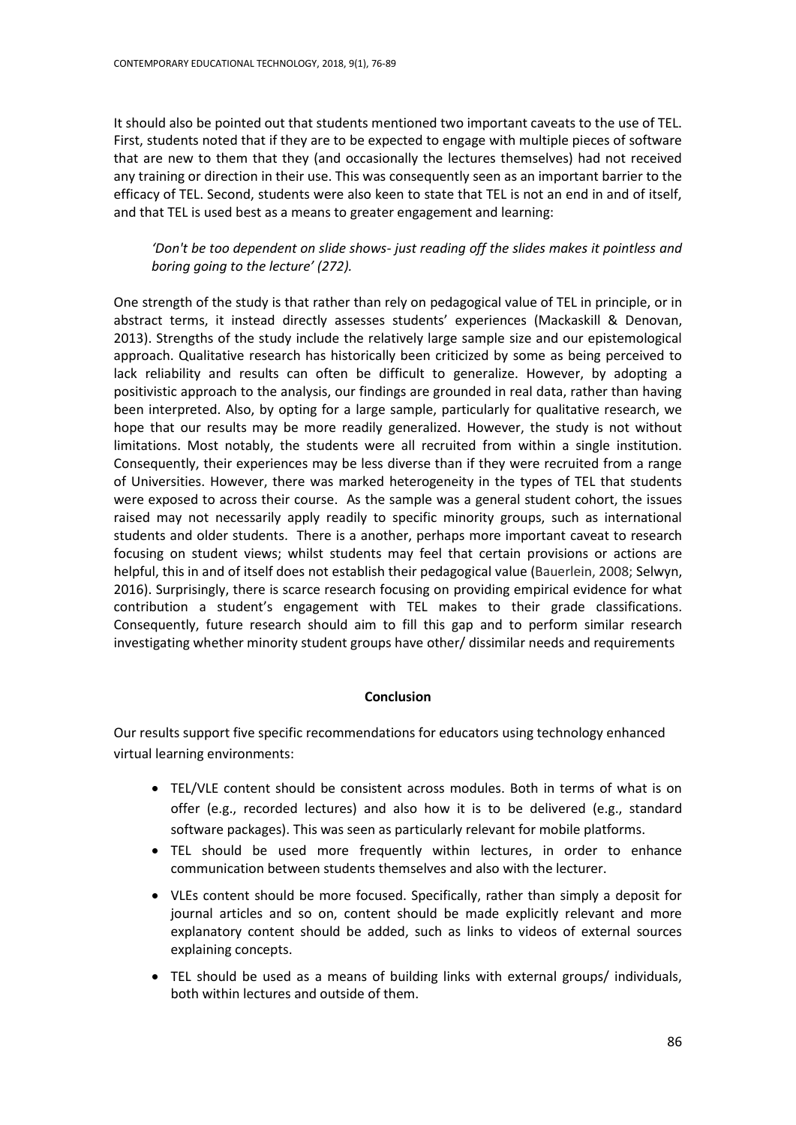It should also be pointed out that students mentioned two important caveats to the use of TEL. First, students noted that if they are to be expected to engage with multiple pieces of software that are new to them that they (and occasionally the lectures themselves) had not received any training or direction in their use. This was consequently seen as an important barrier to the efficacy of TEL. Second, students were also keen to state that TEL is not an end in and of itself, and that TEL is used best as a means to greater engagement and learning:

*'Don't be too dependent on slide shows- just reading off the slides makes it pointless and boring going to the lecture' (272).*

One strength of the study is that rather than rely on pedagogical value of TEL in principle, or in abstract terms, it instead directly assesses students' experiences (Mackaskill & Denovan, 2013). Strengths of the study include the relatively large sample size and our epistemological approach. Qualitative research has historically been criticized by some as being perceived to lack reliability and results can often be difficult to generalize. However, by adopting a positivistic approach to the analysis, our findings are grounded in real data, rather than having been interpreted. Also, by opting for a large sample, particularly for qualitative research, we hope that our results may be more readily generalized. However, the study is not without limitations. Most notably, the students were all recruited from within a single institution. Consequently, their experiences may be less diverse than if they were recruited from a range of Universities. However, there was marked heterogeneity in the types of TEL that students were exposed to across their course. As the sample was a general student cohort, the issues raised may not necessarily apply readily to specific minority groups, such as international students and older students. There is a another, perhaps more important caveat to research focusing on student views; whilst students may feel that certain provisions or actions are helpful, this in and of itself does not establish their pedagogical value (Bauerlein, 2008; Selwyn, 2016). Surprisingly, there is scarce research focusing on providing empirical evidence for what contribution a student's engagement with TEL makes to their grade classifications. Consequently, future research should aim to fill this gap and to perform similar research investigating whether minority student groups have other/ dissimilar needs and requirements

# **Conclusion**

Our results support five specific recommendations for educators using technology enhanced virtual learning environments:

- TEL/VLE content should be consistent across modules. Both in terms of what is on offer (e.g., recorded lectures) and also how it is to be delivered (e.g., standard software packages). This was seen as particularly relevant for mobile platforms.
- TEL should be used more frequently within lectures, in order to enhance communication between students themselves and also with the lecturer.
- VLEs content should be more focused. Specifically, rather than simply a deposit for journal articles and so on, content should be made explicitly relevant and more explanatory content should be added, such as links to videos of external sources explaining concepts.
- TEL should be used as a means of building links with external groups/ individuals, both within lectures and outside of them.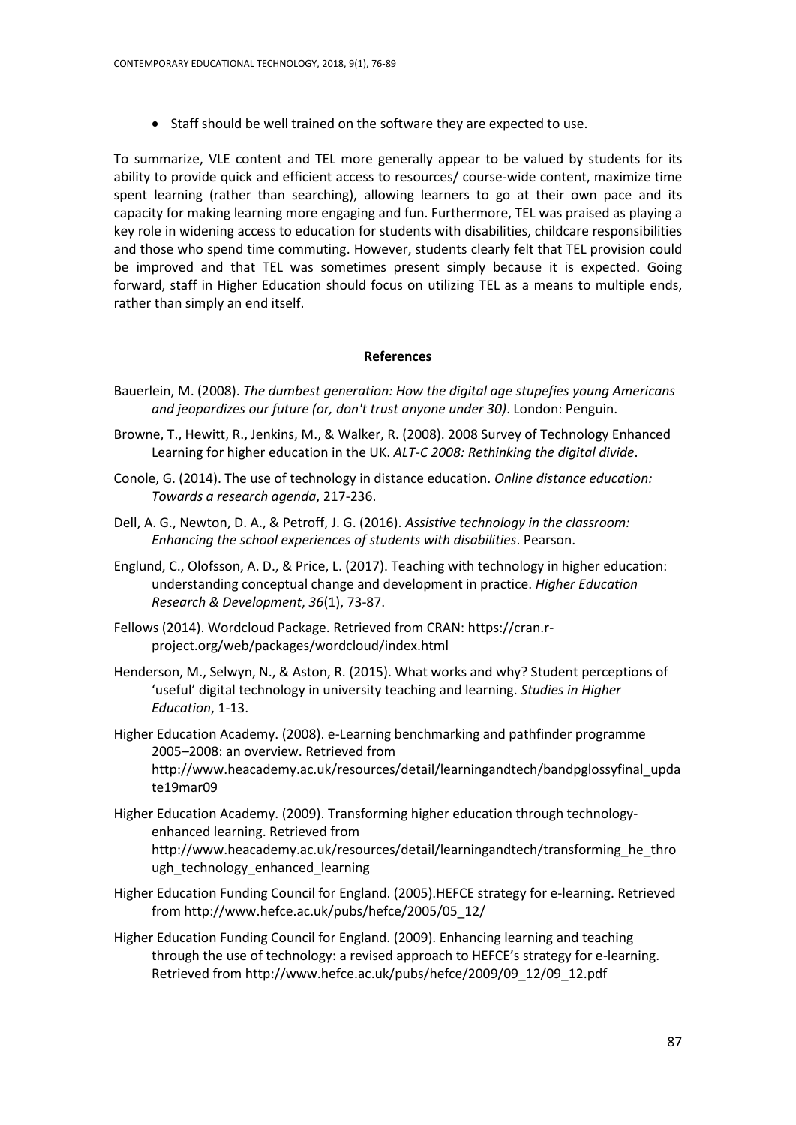• Staff should be well trained on the software they are expected to use.

To summarize, VLE content and TEL more generally appear to be valued by students for its ability to provide quick and efficient access to resources/ course-wide content, maximize time spent learning (rather than searching), allowing learners to go at their own pace and its capacity for making learning more engaging and fun. Furthermore, TEL was praised as playing a key role in widening access to education for students with disabilities, childcare responsibilities and those who spend time commuting. However, students clearly felt that TEL provision could be improved and that TEL was sometimes present simply because it is expected. Going forward, staff in Higher Education should focus on utilizing TEL as a means to multiple ends, rather than simply an end itself.

#### **References**

- Bauerlein, M. (2008). *The dumbest generation: How the digital age stupefies young Americans and jeopardizes our future (or, don't trust anyone under 30)*. London: Penguin.
- Browne, T., Hewitt, R., Jenkins, M., & Walker, R. (2008). 2008 Survey of Technology Enhanced Learning for higher education in the UK. *ALT-C 2008: Rethinking the digital divide*.
- Conole, G. (2014). The use of technology in distance education. *Online distance education: Towards a research agenda*, 217-236.
- Dell, A. G., Newton, D. A., & Petroff, J. G. (2016). *Assistive technology in the classroom: Enhancing the school experiences of students with disabilities*. Pearson.
- Englund, C., Olofsson, A. D., & Price, L. (2017). Teaching with technology in higher education: understanding conceptual change and development in practice. *Higher Education Research & Development*, *36*(1), 73-87.
- Fellows (2014). Wordcloud Package. Retrieved from CRAN: https://cran.rproject.org/web/packages/wordcloud/index.html
- Henderson, M., Selwyn, N., & Aston, R. (2015). What works and why? Student perceptions of 'useful' digital technology in university teaching and learning. *Studies in Higher Education*, 1-13.
- Higher Education Academy. (2008). e-Learning benchmarking and pathfinder programme 2005–2008: an overview. Retrieved from [http://www.heacademy.ac.uk/resources/detail/learningandtech/bandpglossyfinal\\_upda](http://www.heacademy.ac.uk/resources/detail/learningandtech/bandpglossyfinal_update19mar09) [te19mar09](http://www.heacademy.ac.uk/resources/detail/learningandtech/bandpglossyfinal_update19mar09)
- Higher Education Academy. (2009). Transforming higher education through technologyenhanced learning. Retrieved from [http://www.heacademy.ac.uk/resources/detail/learningandtech/t](http://www.heacademy.ac.uk/resources/detail/learningandtech/)ransforming\_he\_thro ugh\_technology\_enhanced\_learning
- Higher Education Funding Council for England. (2005).HEFCE strategy for e-learning. Retrieved fro[m http://www.hefce.ac.uk/pubs/hefce/2005/05\\_12/](http://www.hefce.ac.uk/pubs/hefce/2005/05_12/)
- Higher Education Funding Council for England. (2009). Enhancing learning and teaching through the use of technology: a revised approach to HEFCE's strategy for e-learning. Retrieved from [http://www.hefce.ac.uk/pubs/hefce/2009/09\\_12/09\\_12.pdf](http://www.hefce.ac.uk/pubs/hefce/2009/09_12/09_12.pdf)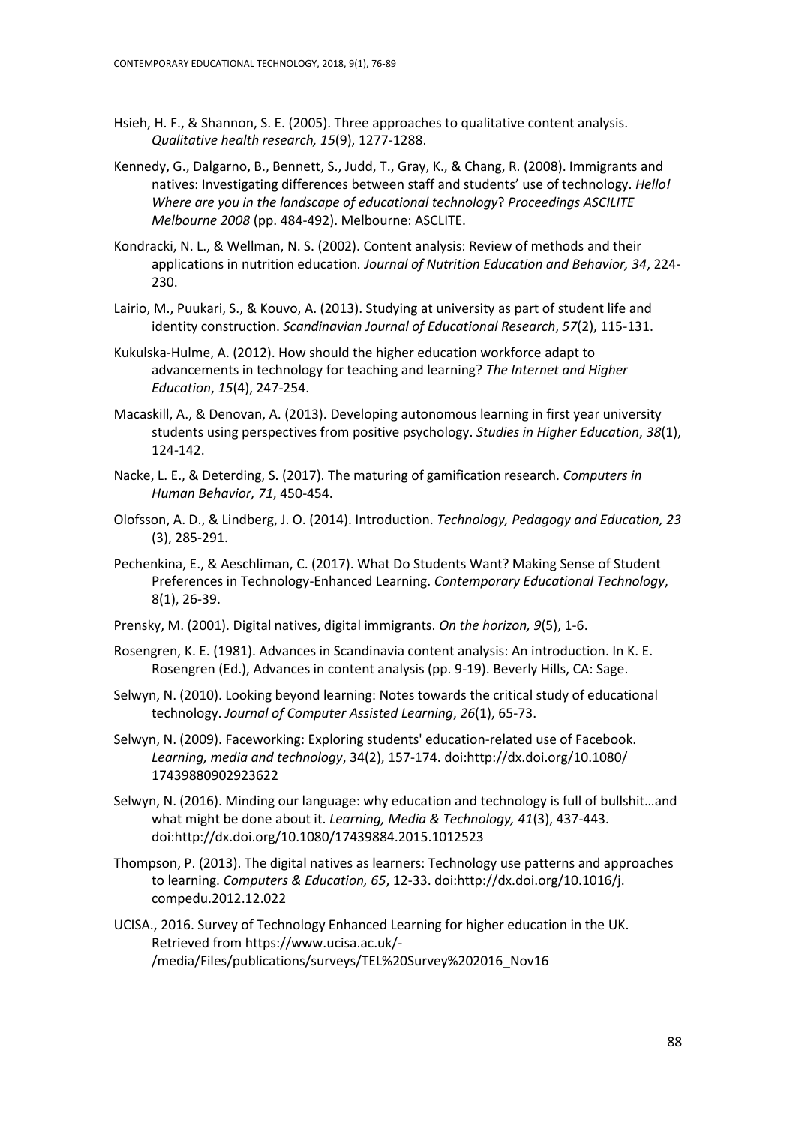- Hsieh, H. F., & Shannon, S. E. (2005). Three approaches to qualitative content analysis. *Qualitative health research, 15*(9), 1277-1288.
- Kennedy, G., Dalgarno, B., Bennett, S., Judd, T., Gray, K., & Chang, R. (2008). Immigrants and natives: Investigating differences between staff and students' use of technology. *Hello! Where are you in the landscape of educational technology*? *Proceedings ASCILITE Melbourne 2008* (pp. 484-492). Melbourne: ASCLITE.
- Kondracki, N. L., & Wellman, N. S. (2002). Content analysis: Review of methods and their applications in nutrition education*. Journal of Nutrition Education and Behavior, 34*, 224- 230.
- Lairio, M., Puukari, S., & Kouvo, A. (2013). Studying at university as part of student life and identity construction. *Scandinavian Journal of Educational Research*, *57*(2), 115-131.
- Kukulska-Hulme, A. (2012). How should the higher education workforce adapt to advancements in technology for teaching and learning? *The Internet and Higher Education*, *15*(4), 247-254.
- Macaskill, A., & Denovan, A. (2013). Developing autonomous learning in first year university students using perspectives from positive psychology. *Studies in Higher Education*, *38*(1), 124-142.
- Nacke, L. E., & Deterding, S. (2017). The maturing of gamification research. *Computers in Human Behavior, 71*, 450-454.
- Olofsson, A. D., & Lindberg, J. O. (2014). Introduction. *Technology, Pedagogy and Education, 23* (3), 285-291.
- Pechenkina, E., & Aeschliman, C. (2017). What Do Students Want? Making Sense of Student Preferences in Technology-Enhanced Learning. *Contemporary Educational Technology*, 8(1), 26-39.
- Prensky, M. (2001). Digital natives, digital immigrants. *On the horizon, 9*(5), 1-6.
- Rosengren, K. E. (1981). Advances in Scandinavia content analysis: An introduction. In K. E. Rosengren (Ed.), Advances in content analysis (pp. 9-19). Beverly Hills, CA: Sage.
- Selwyn, N. (2010). Looking beyond learning: Notes towards the critical study of educational technology. *Journal of Computer Assisted Learning*, *26*(1), 65-73.
- Selwyn, N. (2009). Faceworking: Exploring students' education‐related use of Facebook. *Learning, media and technology*, 34(2), 157-174. doi:http://dx.doi.org/10.1080/ 17439880902923622
- Selwyn, N. (2016). Minding our language: why education and technology is full of bullshit…and what might be done about it. *Learning, Media & Technology, 41*(3), 437-443. doi:http://dx.doi.org/10.1080/17439884.2015.1012523
- Thompson, P. (2013). The digital natives as learners: Technology use patterns and approaches to learning. *Computers & Education, 65*, 12-33. doi:http://dx.doi.org/10.1016/j. compedu.2012.12.022
- UCISA., 2016. Survey of Technology Enhanced Learning for higher education in the UK. Retrieved from https://www.ucisa.ac.uk/- /media/Files/publications/surveys/TEL%20Survey%202016\_Nov16